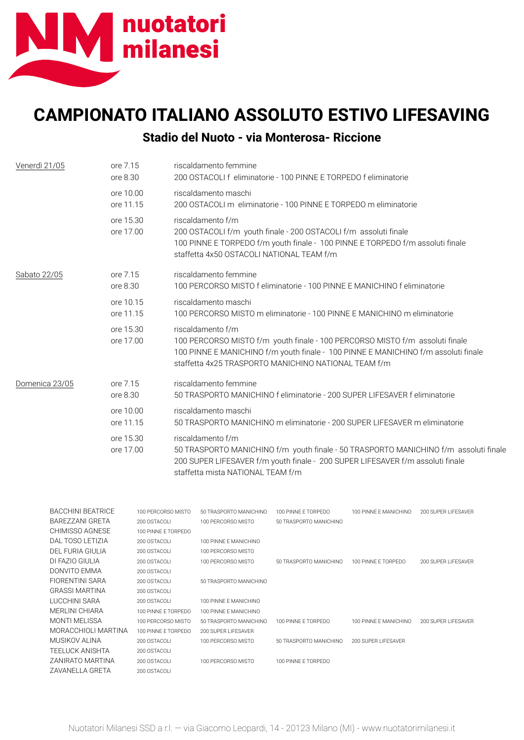

## **CAMPIONATO ITALIANO ASSOLUTO ESTIVO LIFESAVING Stadio del Nuoto - via Monterosa- Riccione**

| Venerdì 21/05  | ore 7.15<br>ore 8.30   | riscaldamento femmine<br>200 OSTACOLI f eliminatorie - 100 PINNE E TORPEDO f eliminatorie                                                                                                                                                       |
|----------------|------------------------|-------------------------------------------------------------------------------------------------------------------------------------------------------------------------------------------------------------------------------------------------|
|                | ore 10.00<br>ore 11.15 | riscaldamento maschi<br>200 OSTACOLI m eliminatorie - 100 PINNE E TORPEDO m eliminatorie                                                                                                                                                        |
|                | ore 15.30<br>ore 17.00 | riscaldamento f/m<br>200 OSTACOLI f/m youth finale - 200 OSTACOLI f/m assoluti finale<br>100 PINNE E TORPEDO f/m youth finale - 100 PINNE E TORPEDO f/m assoluti finale<br>staffetta 4x50 OSTACOLI NATIONAL TEAM f/m                            |
| Sabato 22/05   | ore 7.15<br>ore 8.30   | riscaldamento femmine<br>100 PERCORSO MISTO f eliminatorie - 100 PINNE E MANICHINO f eliminatorie                                                                                                                                               |
|                | ore 10.15<br>ore 11.15 | riscaldamento maschi<br>100 PERCORSO MISTO m eliminatorie - 100 PINNE E MANICHINO m eliminatorie                                                                                                                                                |
|                | ore 15.30<br>ore 17.00 | riscaldamento f/m<br>100 PERCORSO MISTO f/m youth finale - 100 PERCORSO MISTO f/m assoluti finale<br>100 PINNE E MANICHINO f/m youth finale - 100 PINNE E MANICHINO f/m assoluti finale<br>staffetta 4x25 TRASPORTO MANICHINO NATIONAL TEAM f/m |
| Domenica 23/05 | ore 7.15<br>ore 8.30   | riscaldamento femmine<br>50 TRASPORTO MANICHINO f eliminatorie - 200 SUPER LIFESAVER f eliminatorie                                                                                                                                             |
|                | ore 10.00<br>ore 11.15 | riscaldamento maschi<br>50 TRASPORTO MANICHINO m eliminatorie - 200 SUPER LIFESAVER m eliminatorie                                                                                                                                              |
|                | ore 15.30<br>ore 17.00 | riscaldamento f/m<br>50 TRASPORTO MANICHINO f/m youth finale - 50 TRASPORTO MANICHINO f/m assoluti finale<br>200 SUPER LIFESAVER f/m youth finale - 200 SUPER LIFESAVER f/m assoluti finale<br>staffetta mista NATIONAL TEAM f/m                |

| <b>BACCHINI BEATRICE</b> | 100 PERCORSO MISTO  | 50 TRASPORTO MANICHINO | 100 PINNE E TORPEDO    | 100 PINNE E MANICHINO | 200 SUPER LIFESAVER |
|--------------------------|---------------------|------------------------|------------------------|-----------------------|---------------------|
| BAREZZANI GRETA          | 200 OSTACOLI        | 100 PERCORSO MISTO     | 50 TRASPORTO MANICHINO |                       |                     |
| CHIMISSO AGNESE          | 100 PINNE E TORPEDO |                        |                        |                       |                     |
| DAL TOSO LETIZIA         | 200 OSTACOLI        | 100 PINNE E MANICHINO  |                        |                       |                     |
| DEL FURIA GIULIA         | 200 OSTACOLI        | 100 PERCORSO MISTO     |                        |                       |                     |
| DI FAZIO GIULIA          | 200 OSTACOLL        | 100 PERCORSO MISTO     | 50 TRASPORTO MANICHINO | 100 PINNE E TORPEDO   | 200 SUPER LIFESAVER |
| DONVITO EMMA             | 200 OSTACOLI        |                        |                        |                       |                     |
| FIORENTINI SARA          | 200 OSTACOLL        | 50 TRASPORTO MANICHINO |                        |                       |                     |
| <b>GRASSI MARTINA</b>    | 200 OSTACOLI        |                        |                        |                       |                     |
| LUCCHINI SARA            | 200 OSTACOLI        | 100 PINNE E MANICHINO  |                        |                       |                     |
| MERLINI CHIARA           | 100 PINNE E TORPEDO | 100 PINNE E MANICHINO  |                        |                       |                     |
| MONTI MELISSA            | 100 PERCORSO MISTO  | 50 TRASPORTO MANICHINO | 100 PINNE E TORPEDO    | 100 PINNE E MANICHINO | 200 SUPER LIFESAVER |
| MORACCHIOLI MARTINA      | 100 PINNE E TORPEDO | 200 SUPER LIFESAVER    |                        |                       |                     |
| MUSIKOV ALINA            | 200 OSTACOLI        | 100 PERCORSO MISTO     | 50 TRASPORTO MANICHINO | 200 SUPER LIFESAVER   |                     |
| TEELUCK ANISHTA          | 200 OSTACOLI        |                        |                        |                       |                     |
| ZANIRATO MARTINA         | 200 OSTACOLI        | 100 PERCORSO MISTO     | 100 PINNE E TORPEDO    |                       |                     |
| ZAVANELLA GRETA          | 200 OSTACOLI        |                        |                        |                       |                     |